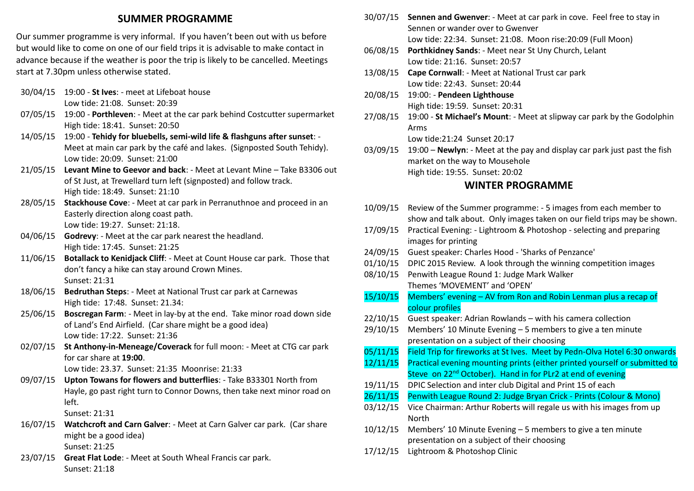## **SUMMER PROGRAMME**

Our summer programme is very informal. If you haven't been out with us before but would like to come on one of our field trips it is advisable to make contact in advance because if the weather is poor the trip is likely to be cancelled. Meetings start at 7.30pm unless otherwise stated.

- 30/04/15 19:00 **St Ives**: meet at Lifeboat house Low tide: 21:08. Sunset: 20:39
- 07/05/15 19:00 **Porthleven**: Meet at the car park behind Costcutter supermarket High tide: 18:41. Sunset: 20:50
- 14/05/15 19:00 **Tehidy for bluebells, semi-wild life & flashguns after sunset**: Meet at main car park by the café and lakes. (Signposted South Tehidy). Low tide: 20:09. Sunset: 21:00
- 21/05/15 **Levant Mine to Geevor and back**: Meet at Levant Mine Take B3306 out of St Just, at Trewellard turn left (signposted) and follow track. High tide: 18:49. Sunset: 21:10
- 28/05/15 **Stackhouse Cove**: Meet at car park in Perranuthnoe and proceed in an Easterly direction along coast path. Low tide: 19:27. Sunset: 21:18.
- 04/06/15 **Godrevy**: Meet at the car park nearest the headland. High tide: 17:45. Sunset: 21:25
- 11/06/15 **Botallack to Kenidjack Cliff**: Meet at Count House car park. Those that don't fancy a hike can stay around Crown Mines. Sunset: 21:31
- 18/06/15 **Bedruthan Steps**: Meet at National Trust car park at Carnewas High tide: 17:48. Sunset: 21.34:
- 25/06/15 **Boscregan Farm**: Meet in lay-by at the end. Take minor road down side of Land's End Airfield. (Car share might be a good idea) Low tide: 17:22. Sunset: 21:36
- 02/07/15 **St Anthony-in-Meneage/Coverack** for full moon: Meet at CTG car park for car share at **19:00**.

Low tide: 23.37. Sunset: 21:35 Moonrise: 21:33

09/07/15 **Upton Towans for flowers and butterflies**: - Take B33301 North from Hayle, go past right turn to Connor Downs, then take next minor road on left.

Sunset: 21:31

- 16/07/15 **Watchcroft and Carn Galver**: Meet at Carn Galver car park. (Car share might be a good idea) Sunset: 21:25
- 23/07/15 **Great Flat Lode**: Meet at South Wheal Francis car park. Sunset: 21:18
- 30/07/15 **Sennen and Gwenver**: Meet at car park in cove. Feel free to stay in Sennen or wander over to Gwenver Low tide: 22:34. Sunset: 21:08. Moon rise:20:09 (Full Moon)
- 06/08/15 **Porthkidney Sands**: Meet near St Uny Church, Lelant Low tide: 21:16. Sunset: 20:57
- 13/08/15 **Cape Cornwall**: Meet at National Trust car park Low tide: 22:43. Sunset: 20:44
- 20/08/15 19:00: **Pendeen Lighthouse** High tide: 19:59. Sunset: 20:31
- 27/08/15 19:00 **St Michael's Mount**: Meet at slipway car park by the Godolphin Arms Low tide:21:24 Sunset 20:17
- 03/09/15 19:00 **Newlyn**: Meet at the pay and display car park just past the fish market on the way to Mousehole High tide: 19:55. Sunset: 20:02

### **WINTER PROGRAMME**

- 10/09/15 Review of the Summer programme: 5 images from each member to show and talk about. Only images taken on our field trips may be shown.
- 17/09/15 Practical Evening: Lightroom & Photoshop selecting and preparing images for printing
- 24/09/15 Guest speaker: Charles Hood 'Sharks of Penzance'
- 01/10/15 DPIC 2015 Review. A look through the winning competition images
- 08/10/15 Penwith League Round 1: Judge Mark Walker Themes 'MOVEMENT' and 'OPEN'
- 15/10/15 Members' evening AV from Ron and Robin Lenman plus a recap of colour profiles
- 22/10/15 Guest speaker: Adrian Rowlands with his camera collection
- 29/10/15 Members' 10 Minute Evening 5 members to give a ten minute presentation on a subject of their choosing
- 05/11/15 Field Trip for fireworks at St Ives. Meet by Pedn-Olva Hotel 6:30 onwards
- 12/11/15 Practical evening mounting prints (either printed yourself or submitted to Steve on 22<sup>nd</sup> October). Hand in for PLr2 at end of evening
- 19/11/15 DPIC Selection and inter club Digital and Print 15 of each
- 26/11/15 Penwith League Round 2: Judge Bryan Crick Prints (Colour & Mono)
- 03/12/15 Vice Chairman: Arthur Roberts will regale us with his images from up North
- 10/12/15 Members' 10 Minute Evening 5 members to give a ten minute presentation on a subject of their choosing
- 17/12/15 Lightroom & Photoshop Clinic